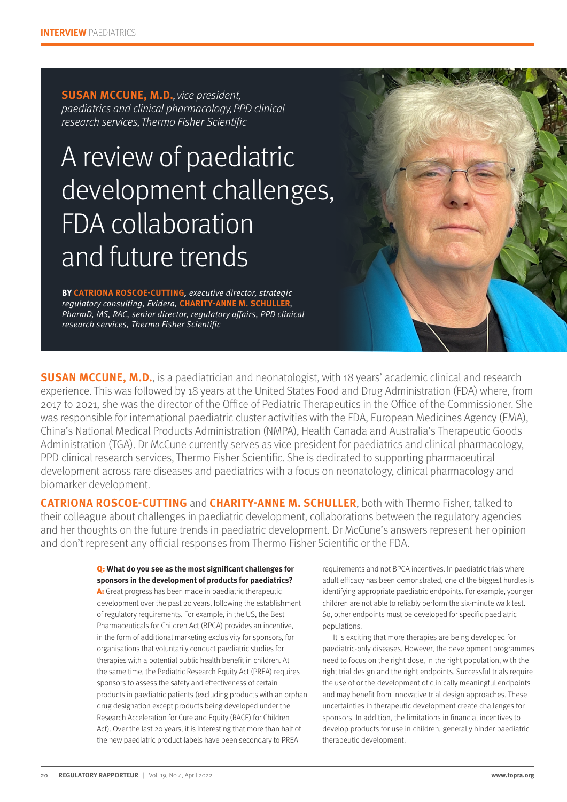**SUSAN MCCUNE, M.D.**, vice president, paediatrics and clinical pharmacology, PPD clinical research services, Thermo Fisher Scientific

# A review of paediatric development challenges, FDA collaboration and future trends

**BY CATRIONA ROSCOE-CUTTING**, executive director, strategic regulatory consulting, Evidera, **CHARITY-ANNE M. SCHULLER**, PharmD, MS, RAC, senior director, regulatory affairs, PPD clinical research services, Thermo Fisher Scientific

**SUSAN MCCUNE, M.D.**, is a paediatrician and neonatologist, with 18 years' academic clinical and research experience. This was followed by 18 years at the United States Food and Drug Administration (FDA) where, from 2017 to 2021, she was the director of the Office of Pediatric Therapeutics in the Office of the Commissioner. She was responsible for international paediatric cluster activities with the FDA, European Medicines Agency (EMA), China's National Medical Products Administration (NMPA), Health Canada and Australia's Therapeutic Goods Administration (TGA). Dr McCune currently serves as vice president for paediatrics and clinical pharmacology, PPD clinical research services, Thermo Fisher Scientific. She is dedicated to supporting pharmaceutical development across rare diseases and paediatrics with a focus on neonatology, clinical pharmacology and biomarker development.

**CATRIONA ROSCOE-CUTTING** and **CHARITY-ANNE M. SCHULLER**, both with Thermo Fisher, talked to their colleague about challenges in paediatric development, collaborations between the regulatory agencies and her thoughts on the future trends in paediatric development. Dr McCune's answers represent her opinion and don't represent any official responses from Thermo Fisher Scientific or the FDA.

#### Q: What do you see as the most significant challenges for **sponsors in the development of products for paediatrics?**

A: Great progress has been made in paediatric therapeutic development over the past 20 years, following the establishment of regulatory requirements. For example, in the US, the Best Pharmaceuticals for Children Act (BPCA) provides an incentive, in the form of additional marketing exclusivity for sponsors, for organisations that voluntarily conduct paediatric studies for therapies with a potential public health benefit in children. At the same time, the Pediatric Research Equity Act (PREA) requires sponsors to assess the safety and effectiveness of certain products in paediatric patients (excluding products with an orphan drug designation except products being developed under the Research Acceleration for Cure and Equity (RACE) for Children Act). Over the last 20 years, it is interesting that more than half of the new paediatric product labels have been secondary to PREA

requirements and not BPCA incentives. In paediatric trials where adult efficacy has been demonstrated, one of the biggest hurdles is identifying appropriate paediatric endpoints. For example, younger children are not able to reliably perform the six-minute walk test. So, other endpoints must be developed for specific paediatric populations.

It is exciting that more therapies are being developed for paediatric-only diseases. However, the development programmes need to focus on the right dose, in the right population, with the right trial design and the right endpoints. Successful trials require the use of or the development of clinically meaningful endpoints and may benefit from innovative trial design approaches. These uncertainties in therapeutic development create challenges for sponsors. In addition, the limitations in financial incentives to develop products for use in children, generally hinder paediatric therapeutic development.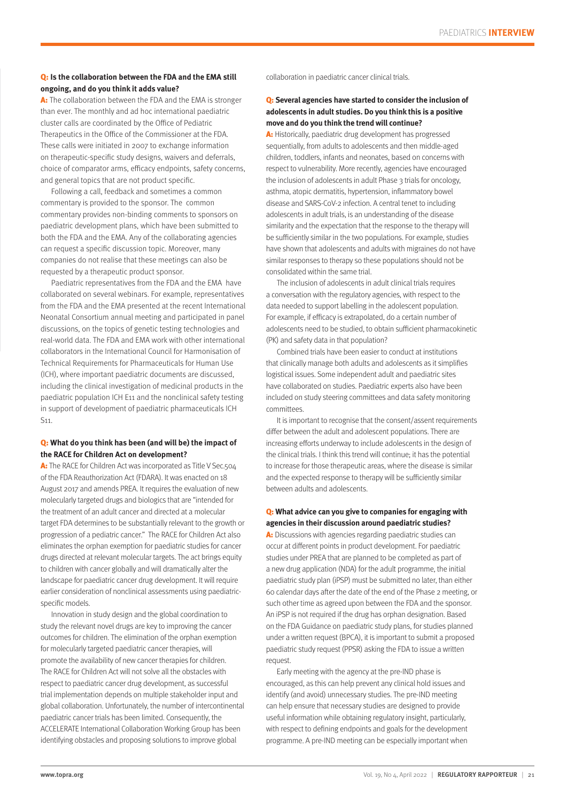## Q: **Is the collaboration between the FDA and the EMA still ongoing, and do you think it adds value?**

A: The collaboration between the FDA and the EMA is stronger than ever. The monthly and ad hoc international paediatric cluster calls are coordinated by the Office of Pediatric Therapeutics in the Office of the Commissioner at the FDA. These calls were initiated in 2007 to exchange information on therapeutic-specific study designs, waivers and deferrals, choice of comparator arms, efficacy endpoints, safety concerns, and general topics that are not product specific.

Following a call, feedback and sometimes a common commentary is provided to the sponsor. The common commentary provides non-binding comments to sponsors on paediatric development plans, which have been submitted to both the FDA and the EMA. Any of the collaborating agencies can request a specific discussion topic. Moreover, many companies do not realise that these meetings can also be requested by a therapeutic product sponsor.

Paediatric representatives from the FDA and the EMA have collaborated on several webinars. For example, representatives from the FDA and the EMA presented at the recent International Neonatal Consortium annual meeting and participated in panel discussions, on the topics of genetic testing technologies and real-world data. The FDA and EMA work with other international collaborators in the International Council for Harmonisation of Technical Requirements for Pharmaceuticals for Human Use (ICH), where important paediatric documents are discussed, including the clinical investigation of medicinal products in the paediatric population ICH E11 and the nonclinical safety testing in support of development of paediatric pharmaceuticals ICH S11.

## Q: **What do you think has been (and will be) the impact of the RACE for Children Act on development?**

A: The RACE for Children Act was incorporated as Title V Sec.504 of the FDA Reauthorization Act (FDARA). It was enacted on 18 August 2017 and amends PREA. It requires the evaluation of new molecularly targeted drugs and biologics that are "intended for the treatment of an adult cancer and directed at a molecular target FDA determines to be substantially relevant to the growth or progression of a pediatric cancer." The RACE for Children Act also eliminates the orphan exemption for paediatric studies for cancer drugs directed at relevant molecular targets. The act brings equity to children with cancer globally and will dramatically alter the landscape for paediatric cancer drug development. It will require earlier consideration of nonclinical assessments using paediatricspecific models.

Innovation in study design and the global coordination to study the relevant novel drugs are key to improving the cancer outcomes for children. The elimination of the orphan exemption for molecularly targeted paediatric cancer therapies, will promote the availability of new cancer therapies for children. The RACE for Children Act will not solve all the obstacles with respect to paediatric cancer drug development, as successful trial implementation depends on multiple stakeholder input and global collaboration. Unfortunately, the number of intercontinental paediatric cancer trials has been limited. Consequently, the ACCELERATE International Collaboration Working Group has been identifying obstacles and proposing solutions to improve global

collaboration in paediatric cancer clinical trials.

# Q: **Several agencies have started to consider the inclusion of adolescents in adult studies. Do you think this is a positive move and do you think the trend will continue?**

A: Historically, paediatric drug development has progressed sequentially, from adults to adolescents and then middle-aged children, toddlers, infants and neonates, based on concerns with respect to vulnerability. More recently, agencies have encouraged the inclusion of adolescents in adult Phase 3 trials for oncology, asthma, atopic dermatitis, hypertension, inflammatory bowel disease and SARS-CoV-2 infection. A central tenet to including adolescents in adult trials, is an understanding of the disease similarity and the expectation that the response to the therapy will be sufficiently similar in the two populations. For example, studies have shown that adolescents and adults with migraines do not have similar responses to therapy so these populations should not be consolidated within the same trial.

The inclusion of adolescents in adult clinical trials requires a conversation with the regulatory agencies, with respect to the data needed to support labelling in the adolescent population. For example, if efficacy is extrapolated, do a certain number of adolescents need to be studied, to obtain sufficient pharmacokinetic (PK) and safety data in that population?

Combined trials have been easier to conduct at institutions that clinically manage both adults and adolescents as it simplifies logistical issues. Some independent adult and paediatric sites have collaborated on studies. Paediatric experts also have been included on study steering committees and data safety monitoring committees.

It is important to recognise that the consent/assent requirements differ between the adult and adolescent populations. There are increasing efforts underway to include adolescents in the design of the clinical trials. I think this trend will continue; it has the potential to increase for those therapeutic areas, where the disease is similar and the expected response to therapy will be sufficiently similar between adults and adolescents.

## Q: **What advice can you give to companies for engaging with agencies in their discussion around paediatric studies?**

A: Discussions with agencies regarding paediatric studies can occur at different points in product development. For paediatric studies under PREA that are planned to be completed as part of a new drug application (NDA) for the adult programme, the initial paediatric study plan (iPSP) must be submitted no later, than either 60 calendar days after the date of the end of the Phase 2 meeting, or such other time as agreed upon between the FDA and the sponsor. An iPSP is not required if the drug has orphan designation. Based on the FDA Guidance on paediatric study plans, for studies planned under a written request (BPCA), it is important to submit a proposed paediatric study request (PPSR) asking the FDA to issue a written request.

Early meeting with the agency at the pre-IND phase is encouraged, as this can help prevent any clinical hold issues and identify (and avoid) unnecessary studies. The pre-IND meeting can help ensure that necessary studies are designed to provide useful information while obtaining regulatory insight, particularly, with respect to defining endpoints and goals for the development programme. A pre-IND meeting can be especially important when